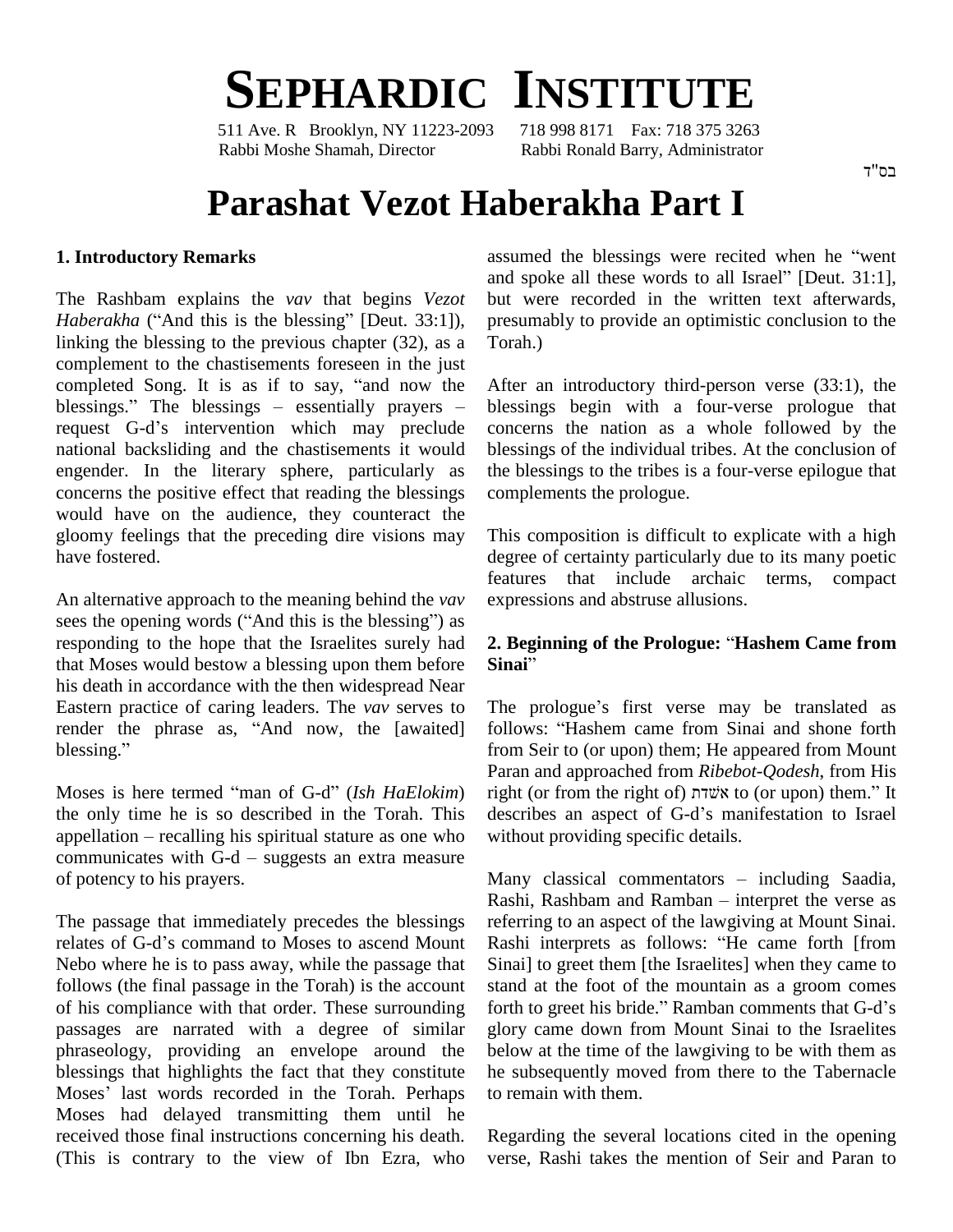# **SEPHARDIC INSTITUTE**

511 Ave. R Brooklyn, NY 11223-2093 Rabbi Moshe Shamah, Director Rabbi Ronald Barry, Administrator

## **Parashat Vezot Haberakha Part I**

### **1. Introductory Remarks**

The Rashbam explains the *vav* that begins *Vezot* linking the blessing to the previous chapter (32), as a complement to the chastisements foreseen in the just linking the blessing to the previous chapter  $(32)$ , as a Torah complement to the chastisements foreseen in the just completed Song. It is as if to say, "and now the After complement to the chastisements foreseen in the just<br>completed Song. It is as if to say, "and now the After<br>blessings." The blessings – essentially prayers – blessin completed Song. It is as if to say, "and now the After<br>blessings." The blessings – essentially prayers – bless<br>request G-d's intervention which may preclude conce national backsliding and the chastisements it would engender. In the literary sphere, particularly as concerns the positive effect that reading the blessings would have on the audience, they counteract the gloomy feelings that the preceding dire visions may have fostered.

An alternative approach to the meaning behind the *vav* features<br>An alternative approach to the meaning behind the *vav* expressio<br>sees the opening words ("And this is the blessing") as responding to the hope that the Israelites surely had that Moses would bestow a blessing upon them before Sinai" his death in accordance with the then widespread Near<br>Eastern practice of caring leaders. The *vav* serves to The<br>render the phrase as, "And now, the [awaited] foll Eastern practice of caring leaders. The *vav* serves to render the phrase as, "And now, the [awaited] blessing."

Moses is here termed "man of G-d" (*Ish HaElokim*) right (or from the right of) אשׂדת to (or upon) them." It the only time he is so described in the Torah. This appellation  $-$  recalling his spiritual stature as one who communicates with  $G-d$  – suggests an extra measure of potency to his prayers.

The passage that immediately precedes the blessings refer R:<br>The passage that immediately precedes the blessings re<br>relates of G-d's command to Moses to ascend Mount R: Nebo where he is to pass away, while the passage that follows (the final passage in the Torah) is the account of his compliance with that order. These surrounding passages are narrated with a degree of similar phraseology, providing an envelope around the below<br>blessings that highlights the fact that they constitute he su<br>Moses' last words recorded in the Torah. Perhaps to rer blessings that highlights the fact that they constitute Moses had delayed transmitting them until he received those final instructions concerning his death. (This is contrary to the view of Ibn Ezra, who

and spoke all these words to all Israel" [Deut. 31:1],<br>The Rashbam explains the *vav* that begins *Vezot* but were recorded in the written text afterwards,<br>*Haberakha* ("And this is the blessing" [Deut. 33:1]), presumably **adderakila Farl 1**<br>assumed the blessings were recited when he "went assumed the blessings were recited when he "went<br>and spoke all these words to all Israel" [Deut. 31:1], but were recorded in the written text afterwards, presumably to provide an optimistic conclusion to the Torah.)

> After an introductory third-person verse (33:1), the blessings begin with a four-verse prologue that concerns the nation as a whole followed by the blessings of the individual tribes. At the conclusion of the blessings to the tribes is a four-verse epilogue that complements the prologue.

This composition is difficult to explicate with a high degree of certainty particularly due to its many poetic that include archaic terms, compact expressions and abstruse allusions. **2. Beginning of the Prologue: "Hashem Came from** 

## **-**<br>2. Beginning o<br>Sinai'' Sinai"<br>The prologue's first verse may be translated as

The prologue's first verse may be translated as<br>follows: "Hashem came from Sinai and shone forth from Seir to (or upon) them; He appeared from Mount<br>Paran and approached from *Ribebot-Qodesh*, from His<br>right (or from the right of) אשׁרת to (or upon) them." It Paran and approached from *Ribebot-Qodesh*, from His right (or from the right of) אשדה is to (or upon) them." It describes an aspect of G-d's manifestation to Israel without providing specific details. without providing specific details.<br>Many classical commentators – including Saadia,

Many classical commentators – including Saadia,<br>Rashi, Rashbam and Ramban – interpret the verse as referring to an aspect of the lawgiving at Mount Sinai. Rashi, Rashbam and Ramban – interpret the verse as<br>referring to an aspect of the lawgiving at Mount Sinai.<br>Rashi interprets as follows: "He came forth [from Sinai] to greet them [the Israelites] when they came to stand at the foot of the mountain as a groom comes forth to greet his bride." Ramban comments that G-d's glory came down from Mount Sinai to the Israelites below at the time of the lawgiving to be with them as he subsequently moved from there to the Tabernacle to remain with them.

Regarding the several locations cited in the opening verse. Rashi takes the mention of Seir and Paran to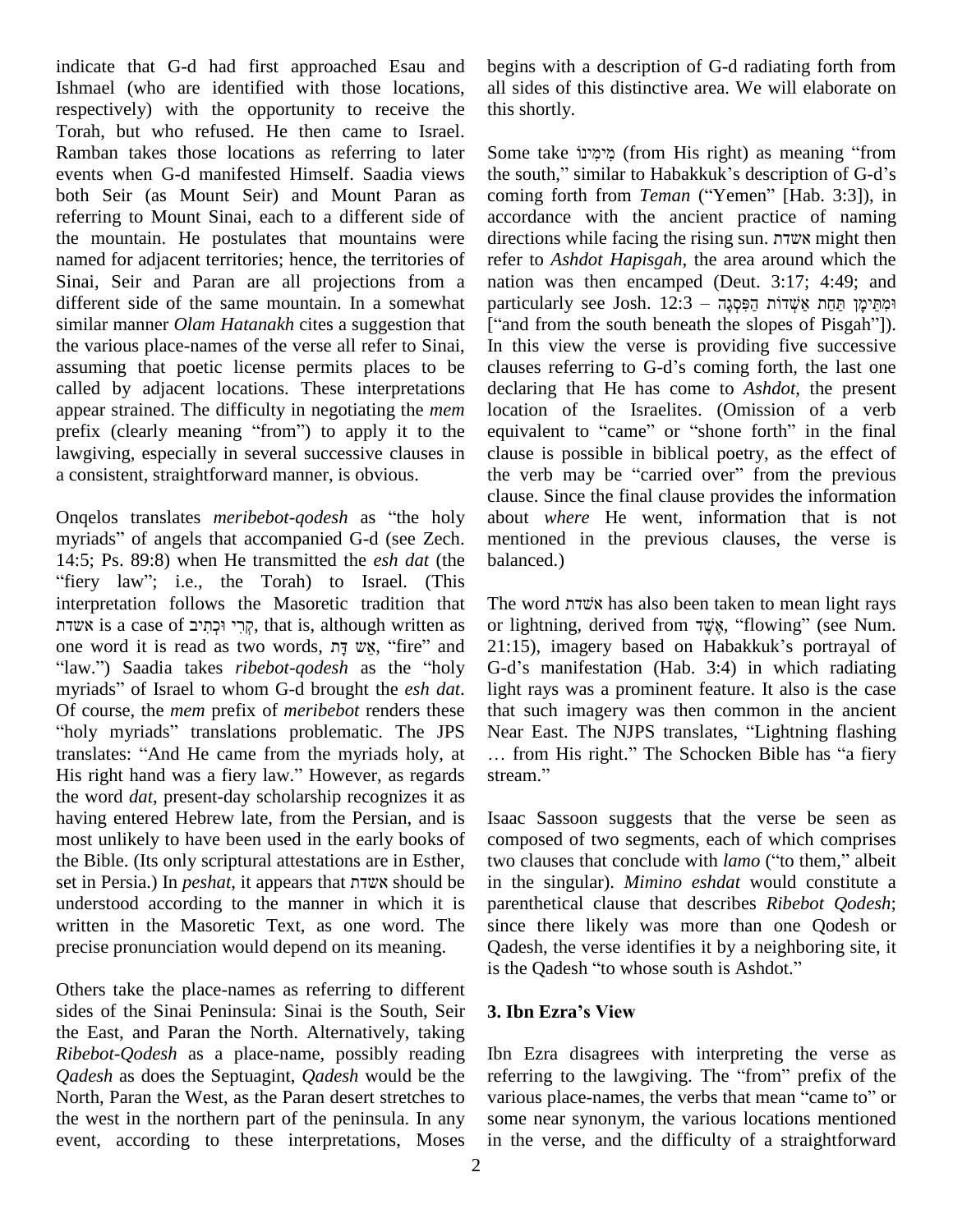indicate that G-d had first approached Esau and Ishmael (who are identified with those locations, respectively) with the opportunity to receive the Torah, but who refused. He then came to Israel. Ramban takes those locations as referring to later events when G-d manifested Himself. Saadia views the south," similar to Habakkuk's description of G-d's both Seir (as Mount Seir) and Mount Paran as referring to Mount Sinai, each to a different side of the mountain. He postulates that mountains were named for adjacent territories; hence, the territories of Sinai, Seir and Paran are all projections from a different side of the same mountain. In a somewhat similar manner *Olam Hatanakh* cites a suggestion that ["and from the south beneath the slopes of Pisgah"]). the various place-names of the verse all refer to Sinai, assuming that poetic license permits places to be clauses referring to G-d's coming forth, the last one called by adjacent locations. These interpretations appear strained. The difficulty in negotiating the *mem* prefix (clearly meaning "from") to apply it to the lawgiving, especially in several successive clauses in a consistent, straightforward manner, is obvious.

clau<br>
on translates *meribebot-qodesh* as "the holy abou<br>
myriads" of angels that accompanied G-d (see Zech. inen<br>
14:5; Ps. 89:8) when He transmitted the *esh dat* (the bala<br>
"fiery law"; i.e., the Torah) to Israel. (This 14:5; Ps. 89:8) when He transmitted the *esh dat*(the interpretation follows the Masoretic tradition that "fiery law"; i.e., the Torah) to Israel. (This interpretation follows the Masoretic tradition that The  $\pi$ ך וּכְתִיב is a case of  $\pi$ ך, that is, although written as or li one word it is read as two words, אֵש דָּת "fire" and 21:15), imagery based on Habakkuk's portrayal of אשדת, that is, although written as וּקְרִי וּכְתִיב sa case of קְרִי וּכְתִיב hat is, although written as or ligh as the word it is read as two words, קָ $\frac{m}{2}$  wg, "fire" and 21:15)<br>law.") Saadia takes *ribebot-qodesh* as the "holy G-d's one word it is read as two words,  $n\overline{y}$  wx, "fire" and 2 "law.") Saadia takes *ribebot-qodesh* as the "holy G<br>myriads" of Israel to whom G-d brought the *esh dat*. Ii Of course, the *mem* prefix of *meribebot* renders these myriads" of Israel to whom G-d brought the esh dat. holy myriads" of Israel to whom G-d brought the *esh dat*. light ranslations problematic. The JPS Near E Of course, the *mem* prefix of *meribebot* renders these the "holy myriads" translations problematic. The JPS Nutranslates: "And He came from the myriads holy, at ... "holy myriads" translations problematic. The JPS Near East. The NJPS translates, "Lightning flashing translates: "And He came from the myriads holy, at ... from His right." The Schocken Bible has "a fiery His right hand wa the word *dat*, present-day scholarship recognizes it as having entered Hebrew late, from the Persian, and is most unlikely to have been used in the early books of compute Bible. (Its only scriptural attestations are in Esther, two coset in Persia.) In *peshat*, it appears that  $\frac{1}{2}$  with should be in the the Bible. (Its only scriptural attestations are in Esther, two clauses that conclude with *lamo* ("to them," albeit understood according to the manner in which it is written in the Masoretic Text, as one word. The precise pronunciation would depend on its meaning.

Others take the place-names as referring to different sides of the Sinai Peninsula: Sinai is the South, Seir 3. **Ibn Ezra's View** the East, and Paran the North. Alternatively, taking *Ribebot-Qodesh* as a place-name, possibly reading *Qadesh* as does the Septuagint, *Qadesh* would be the North, Paran the West, as the Paran desert stretches to various place-names, the verbs that mean "came to" or the west in the northern part of the peninsula. In any event, according to these interpretations, Moses

begins with a description of G-d radiating forth from all sides of this distinctive area. We will elaborate on this shortly. this shortly.<br>Some take מִימִינוֹ (from His right) as meaning "from

a consistent, straightforward manner, is obvious.<br>
the verb may be "carried over" from the previous<br>
clause. Since the final clause provides the information<br>
Ongelos translates *meribebot-qodesh* as "the holy about *where* the south,<sup>î</sup> similar to Habakkukí<sup>s</sup> description of G-dí<sup>s</sup> coming forth from *Teman* (ìYemen<sup>î</sup> [Hab. 3:3]), in accordance with the ancient practice of naming coming forth from *Teman* ("Yemen" [Hab. 3:3]), in accordance with the ancient practice of naming directions while facing the rising sun. אשדת might then refer to *Ashdot Hapisgah*, the area around which the nation was then encamped (Deut. 3:17; 4:49; and pefer to Ashdot Hapisgah, the area around which the nation was then encamped (Deut. 3:17; 4:49; and<br>particularly see Josh. 12:3 – הַפְּסְגָה הַפִּסְגָה nation was then encamped (Deut. 3:17; 4:49; and<br>particularly see Josh. 12:3 – הַפְּסְגָה מַחַת אֲשְׁדוֹת הַפִּסְגָה<br>[''and from the south beneath the slopes of Pisgah'']). In this view the verse is providing five successive ["and from the south beneath the slopes of Pisgah"]).<br>In this view the verse is providing five successive<br>clauses referring to G-d's coming forth, the last one declaring that He has come to *Ashdot*, the present location of the Israelites. (Omission of a verb declaring that He has come to *Ashdot*, the present location of the Israelites. (Omission of a verb equivalent to "came" or "shone forth" in the final clause is possible in biblical poetry, as the effect of equivalent to "came" or "shone forth" in the final clause. Since the final clause provides the information about *where* He went, information that is not mentioned in the previous clauses, the verse is balanced.)

The word ʺʣˇʠ has also been taken to mean light rays The word אשׂדת has also been taken to mean light rays<br>or lightning, derived from עָּשֶׂי, ``flowing'' (see Num. The word אשדת has also been taken to mean light rays<br>or lightning, derived from אֶשֶׁלָּא, ''flowing'' (see Num.<br>21:15), imagery based on Habakkuk's portrayal of G-d's manifestation (Hab. 3:4) in which radiating light rays was a prominent feature. It also is the case that such imagery was then common in the ancient light rays was a prominent feature. It also is the case<br>that such imagery was then common in the ancient<br>Near East. The NJPS translates, "Lightning flashing from His right." Was then common in the ancient<br>in East. The NJPS translates, "Lightning flashing<br>from His right." The Schocken Bible has "a fiery Near East. The NJPS translates, "Lightning flashing

Isaac Sassoon suggests that the verse be seen as composed of two segments, each of which comprises Isaac Sassoon suggests that the verse be seen as<br>composed of two segments, each of which comprises<br>two clauses that conclude with *lamo* ("to them," albeit in the singular). *Mimino eshdat* would constitute a parenthetical clause that describes *Ribebot Qodesh*; since there likely was more than one Qodesh or Qadesh, the verse identifies it by a neighboring site, it is the Qadesh "to whose south is Ashdot." Qadesh, the verse identifies it by a neighboring site, it is the Qadesh "to whose south is Ashdot."

Ibn Ezra disagrees with interpreting the verse as Ibn Ezra disagrees with interpreting the verse as<br>referring to the lawgiving. The "from" prefix of the Ibn Ezra disagrees with interpreting the verse as<br>referring to the lawgiving. The "from" prefix of the<br>various place-names, the verbs that mean "came to" or some near synonym, the various locations mentioned in the verse, and the difficulty of a straightforward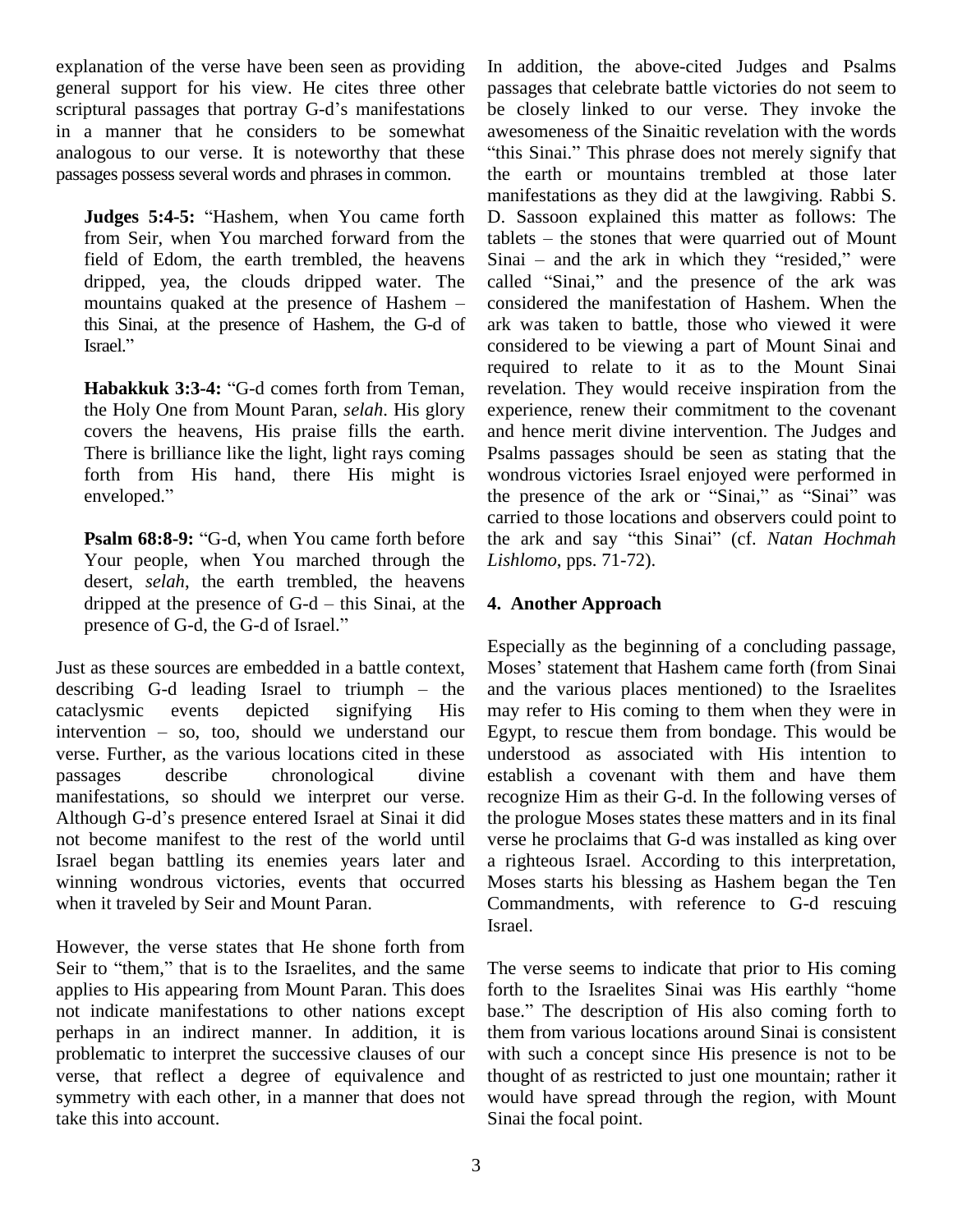explanation of the verse have been seen as providing general support for his view. He cites three other explanation of the verse have been seen as providing In<br>general support for his view. He cites three other pass<br>scriptural passages that portray G-d's manifestations be in a manner that he considers to be somewhat analogous to our verse. It is noteworthy that these "this Sinai." This phrase does not merely signify that passages possess several words and phrases in common. the emaniferency of the state of the state of the state of the  $\overline{D}$ . Sa

from Seir, when You marched forward from the dripped, yea, the clouds dripped water. The field of Edom, the earth trembled, the heavens Sinai – dripped, yea, the clouds dripped water. The called "nountains quaked at the presence of Hashem – considered this Sinai, at the presence of Hashem, the G-d of mountains quaked at the presence of Hashem –<br>this Sinai, at the presence of Hashem, the G-d of<br>Israel."

**Habakkuk 3:3-4:** "G-d comes forth from Teman, the Holy One from Mount Paran, *selah*. His glory covers the heavens, His praise fills the earth. There is brilliance like the light, light rays coming Psalm<br>forth from His hand, there His might is wondr<br>enveloped." the pr forth from His hand, there His might is

Your people, when You marched through the desert, *selah*, the earth trembled, the heavens<br>dripped at the presence of G-d – this Sinai, at the 4. A<br>presence of G-d, the G-d of Israel.<sup>?</sup> dripped at the presence of  $G-d$  – this Sinai, at the

Just as these sources are embedded in a battle context, M Esper<br>Just as these sources are embedded in a battle context, Mose<br>describing G-d leading Israel to triumph – the and cataclysmic events depicted signifying His describing  $G-d$  leading Israel to triumph – the cataclysmic events depicted signifying His intervention – so, too, should we understand our verse. Further, as the various locations cited in these passages describe chronological divine manifestations, so should we interpret our verse. passages describe chronological divine establi<br>manifestations, so should we interpret our verse. recogr<br>Although G-d's presence entered Israel at Sinai it did the pro not become manifest to the rest of the world until Israel began battling its enemies years later and winning wondrous victories, events that occurred when it traveled by Seir and Mount Paran.

However, the verse states that He shone forth from Seir to "them," that is to the Israelites, and the same applies to His appearing from Mount Paran. This does not indicate manifestations to other nations except base." The description of His also coming forth to perhaps in an indirect manner. In addition, it is problematic to interpret the successive clauses of our verse, that reflect a degree of equivalence and symmetry with each other, in a manner that does not take this into account.

field of Edom, the earth trembled, the heavens Sinai – and the ark in which they "resided," were **Propertion 19.1 Example 1.** The presence of the ark or "Sinai," as "Sinai" was<br> **Psalm 68:8-9:** "G-d, when You came forth before the ark and say "this Sinai" (cf. *Natan Hochmah* In addition, the above-cited Judges and Psalms passages that celebrate battle victories do not seem to be closely linked to our verse. They invoke the be closely linked to our verse. They invoke the awesomeness of the Sinaitic revelation with the words "this Sinai." This phrase does not merely signify that the earth or mountains trembled at those later manifestations as they did at the lawgiving. Rabbi S. D. Sassoon explained this matter as follows: The manifestations as they did at the lawgiving. Rabbi S.<br>D. Sassoon explained this matter as follows: The<br>tablets – the stones that were quarried out of Mount D. Sassoon explained this matter as follows: The tablets – the stones that were quarried out of Mount Sinai – and the ark in which they "resided," were tablets – the stones that were quarried out of Mount<br>Sinai – and the ark in which they "resided," were<br>called "Sinai," and the presence of the ark was considered the manifestation of Hashem. When the ark was taken to battle, those who viewed it were considered to be viewing a part of Mount Sinai and required to relate to it as to the Mount Sinai revelation. They would receive inspiration from the experience, renew their commitment to the covenant and hence merit divine intervention. The Judges and Psalms passages should be seen as stating that the wondrous victories Israel enjoyed were performed in Psalms passages should be seen as stating that the<br>wondrous victories Israel enjoyed were performed in<br>the presence of the ark or "Sinai," as "Sinai" was carried to those locations and observers could point to the presence of the ark or "Sinai," as "Sinai" was<br>carried to those locations and observers could point to<br>the ark and say "this Sinai" (cf. *Natan Hochmah Lishlomo*, pps. 71-72).

## **4. Another Approach**

Especially as the beginning of a concluding passage, Moses' statement that Hashem came forth (from Sinai and the various places mentioned) to the Israelites may refer to His coming to them when they were in Egypt, to rescue them from bondage. This would be understood as associated with His intention to establish a covenant with them and have them recognize Him as their G-d. In the following verses of the prologue Moses states these matters and in its final verse he proclaims that G-d was installed as king over a righteous Israel. According to this interpretation, Moses starts his blessing as Hashem began the Ten Commandments, with reference to G-d rescuing Israel.

The verse seems to indicate that prior to His coming The verse seems to indicate that prior to His coming<br>forth to the Israelites Sinai was His earthly "home The verse seems to indicate that prior to His coming<br>forth to the Israelites Sinai was His earthly "home<br>base." The description of His also coming forth to them from various locations around Sinai is consistent with such a concept since His presence is not to be thought of as restricted to just one mountain; rather it would have spread through the region, with Mount Sinai the focal point.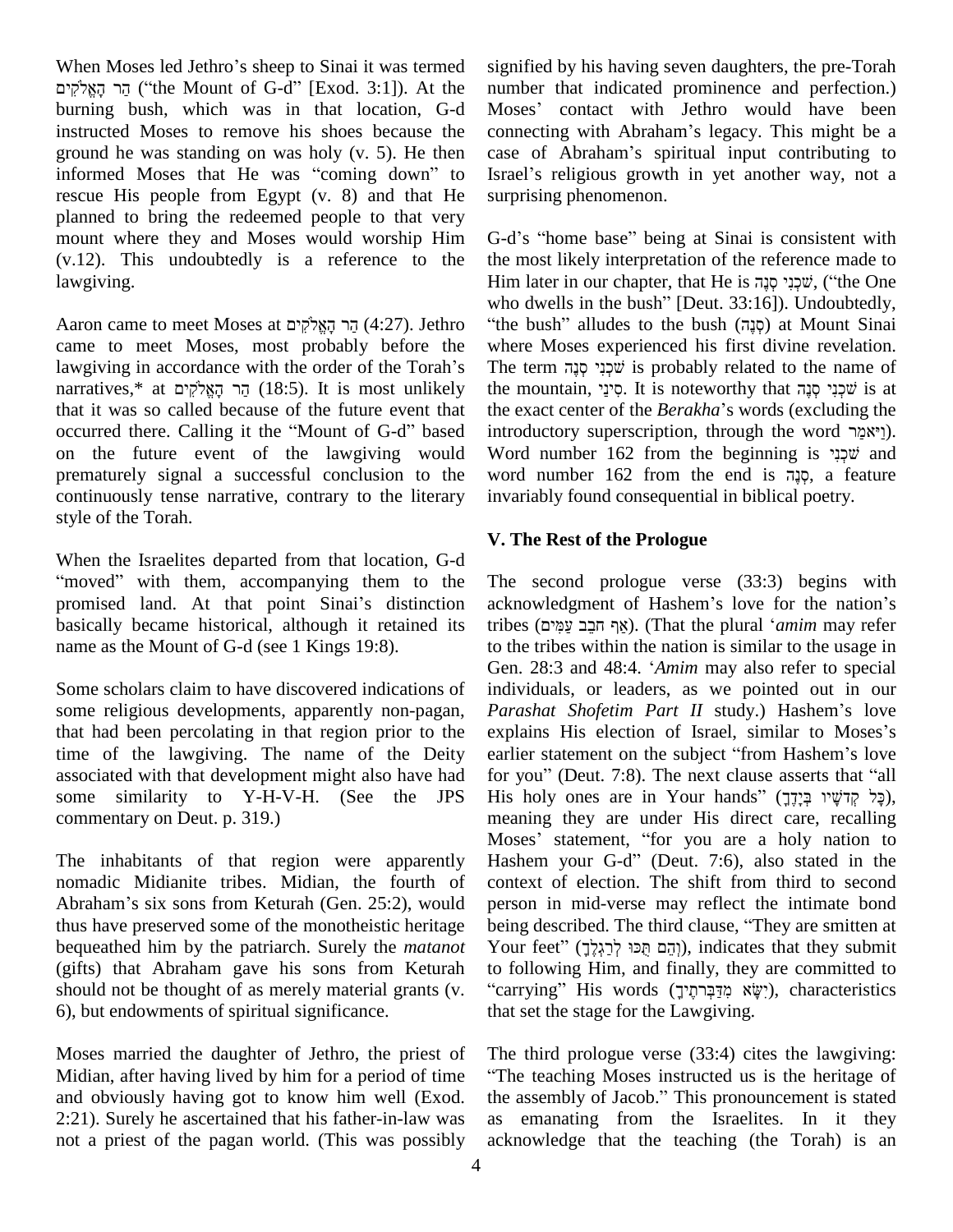When Moses led Jethro's sheep to Sinai it was termed הֵר הָאֱלֹקִים ("the Mount of G-d" [Exod. 3:1]). At the burning bush, which was in that location, G-d Moses' contact with Jethro would have been instructed Moses to remove his shoes because the ground he was standing on was holy (v. 5). He then case of Abraham's spiritual input contributing to informed Moses that He was "coming down" to Israel's religious growth in yet another way, not a rescue His people from Egypt (v. 8) and that He planned to bring the redeemed people to that very mount where they and Moses would worship Him (v.12). This undoubtedly is a reference to the lawgiving. lawgiving.<br>Who d<br>Aaron came to meet Moses at הַר הָאֱלֹקִים (4:27). Jethro "the b

came to meet Moses, most probably before the where<br>lawgiving in accordance with the order of the Torah's The te<br>narratives,\* at אַר הָאֱלֹקִים (18:5). It is most unlikely the me Aaron came to meet Moses at הַר הָאֱלֹקִים (4:27). Jethro "the came to meet Moses, most probably before the whe<br>lawgiving in accordance with the order of the Torah's The that it was so called because of the future event that occurred there. Calling it the "Mount of G-d" based introduction and the execurred there. Calling it the "Mount of G-d" based introd on the future event of the lawgiving would prematurely signal a successful conclusion to the continuously tense narrative, contrary to the literary style of the Torah.

When the Israelites departed from that location, G-d **V. T**<br>When the Israelites departed from that location, G-d<br>moved" with them, accompanying them to the The When the Israelites departed from that location, G-d<br>"moved" with them, accompanying them to the The<br>promised land. At that point Sinai's distinction ackno basically became historical, although it retained its name as the Mount of G-d (see 1 Kings 19:8).

Some scholars claim to have discovered indications of some religious developments, apparently non-pagan, that had been percolating in that region prior to the time of the lawgiving. The name of the Deity earlier statement on the subject "from Hashem's love associated with that development might also have had for you" (Deut. 7:8). The next clause asserts that "all some similarity to Y-H-V-H. (See the JPS commentary on Deut. p. 319.)

The inhabitants of that region were apparently nomadic Midianite tribes. Midian, the fourth of Abrahamí<sup>s</sup> six sons from Keturah (Gen. 25:2), would thus have preserved some of the monotheistic heritage bequeathed him by the patriarch. Surely the *matanot* (gifts) that Abraham gave his sons from Keturah should not be thought of as merely material grants (v. 6), but endowments of spiritual significance.

Moses married the daughter of Jethro, the priest of Midian, after having lived by him for a period of time and obviously having got to know him well (Exod. the assembly of Jacob." This pronouncement is stated 2:21). Surely he ascertained that his father-in-law was not a priest of the pagan world. (This was possibly

signified by his having seven daughters, the pre-Torah number that indicated prominence and perfection.) signified by his having seven daughters, the pre-Torah<br>number that indicated prominence and perfection.)<br>Moses' contact with Jethro would have been number that indicated prominence and perfection.)<br>Moses' contact with Jethro would have been<br>connecting with Abraham's legacy. This might be a Moses' contact with Jethro would have been<br>connecting with Abraham's legacy. This might be a<br>case of Abraham's spiritual input contributing to connecting with Abraham's legacy. This might be a<br>case of Abraham's spiritual input contributing to<br>Israel's religious growth in yet another way, not a surprising phenomenon. surprising phenomenon.<br>G-d's "home base" being at Sinai is consistent with

the most likely interpretation of the reference made to G-d's "home base" being at Sinai is consistent with<br>the most likely interpretation of the reference made to<br>Him later in our chapter, that He is שִׁכְנִי סְנֶה, ("the One the most likely interpretation of the reference made to<br>Him later in our chapter, that He is שְׁכְנִי סְנֶה ("the One<br>who dwells in the bush" [Deut. 33:16]). Undoubtedly, tim later in our chapter, that He is שִׁכְנִי סְנֶה ("the One<br>
vho dwells in the bush" [Deut. 33:16]). Undoubtedly,<br>
the bush" alludes to the bush (סְנֶה) at Mount Sinai where Moses experienced his first divine revelation. "the bush" alludes to the bush (סְנֶה) at Mount Sinai<br>where Moses experienced his first divine revelation.<br>The term שְׁכְנֵי סְנֶה is probably related to the name of where Moses experienced his first divine revelation.<br>The term שֹׁכְנֵי קוּ is probably related to the name of<br>the mountain, יַיַּנָי It is noteworthy that שֹׁכְנִי קוּ is at The term שֵׁכְנִי cated to the name of we wantain, שַׁכְנֵי is probably related to the name of the mountain,  $\gamma$ <u>ינ</u>י. It is noteworthy that  $\psi$  is at the exact center of the *Berakha*'s words (excluding the the mountain, פִינֵי is it is noteworthy that שְׁכְנִי סְנֶה. It is noteworthy that שְׁכְנִי סְנֶה.<br>the exact center of the *Berakha*'s words (excluding the introductory superscription, through the word יְיאמַר.). the exact center of the Berakha's words (excluding the introductory superscription, through the word  $\gamma$ : (ויאמר). invariably found consequential in biblical poetry.

## **V. The Rest of the Prologue**

The second prologue verse (33:3) begins with The second prologue verse (33:3) begins with acknowledgment of Hashem's love for the nation's the second prologue verse (33:3) begins with acknowledgment of Hashem's love for the nation's tribes (אֵף חֹבֶב עַמִּים). (That the plural '*amim* may refer to the tribes within the nation is similar to the usage in tribes (פַּף חִבָּב עַמִּים). (That the plural '*amim* may refer to the tribes within the nation is similar to the usage in Gen. 28:3 and 48:4. '*Amim* may also refer to special individuals, or leaders, as we pointed out in our<br>*Parashat Shofetim Part II* study.) Hashem's love<br>explains His election of Israel, similar to Moses's *Parashat Parashat Shofetim Part II* study.) Hashem<sup>3</sup> love *Parashat Shofetim Part II* study.) Hashem<sup>3</sup> love Parashat Shofetim Part II study.) Hashem's love explains His election of Israel, similar to Moses's earlier statement on the subject "from Hashem's love<br>for you" (Deut. 7:8). The next clause asserts that "all<br>His holy ones are in Your hands" (כָּל קְדֹשָׁיו בְּיָדֶךָ), meaning they are under His direct care, recalling His holy ones are in Your hands" (כְּל קְדֹשָׁיו בְּיָדֶךְ),<br>meaning they are under His direct care, recalling<br>Moses' statement, "for you are a holy nation to Moses' statement, "for you are a holy nation to Hashem your G-d" (Deut. 7:6), also stated in the context of election. The shift from third to second<br>person in mid-verse may reflect the intimate bond<br>being described. The third clause, "They are smitten at person in mid-verse may reflect the intimate bond<br>being described. The third clause, "They are smitten at<br>Your feet" (וְהֵם חֲכוּ לְרַגְלֶךָ), indicates that they submit to following Him, and finally, they are committed to Your feet" (וְהָם תְּכּוּ לְרגְלָך), indicates that they submit carrying<sup>î</sup> His words (ʪʕʩʺʓʸˎʍːʔʮʑ ʠˊʕʑʩ), characteristics that set the stage for the Lawgiving.

The third prologue verse  $(33:4)$  cites the lawgiving: The teaching Moses instructed us is the heritage of The third prologue verse (33:4) cites the lawgiving:<br>"The teaching Moses instructed us is the heritage of<br>the assembly of Jacob." This pronouncement is stated as emanating from the Israelites. In it they acknowledge that the teaching (the Torah) is an